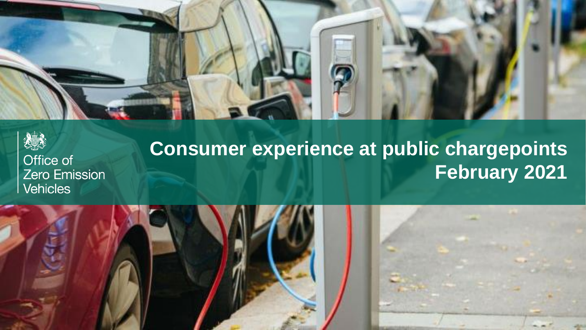



# **Consumer experience at public chargepoints February 2021**

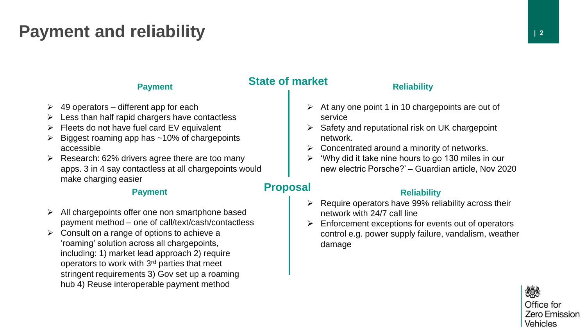# **Payment and reliability** *payment* and  $\frac{1}{2}$

### **Payment**

- ➢ 49 operators different app for each
- Less than half rapid chargers have contactless
- Fleets do not have fuel card EV equivalent
- Biggest roaming app has ~10% of chargepoints accessible
- $\triangleright$  Research: 62% drivers agree there are too many apps. 3 in 4 say contactless at all chargepoints would make charging easier

#### **Payment**

- All chargepoints offer one non smartphone based payment method – one of call/text/cash/contactless
- $\triangleright$  Consult on a range of options to achieve a 'roaming' solution across all chargepoints, including: 1) market lead approach 2) require operators to work with 3rd parties that meet stringent requirements 3) Gov set up a roaming hub 4) Reuse interoperable payment method

## **State of market**

#### **Reliability**

- $\triangleright$  At any one point 1 in 10 chargepoints are out of service
- $\triangleright$  Safety and reputational risk on UK chargepoint network.
- ➢ Concentrated around a minority of networks.
- ➢ 'Why did it take nine hours to go 130 miles in our new electric Porsche?' – Guardian article, Nov 2020

## **Proposal**

### **Reliability**

- $\triangleright$  Require operators have 99% reliability across their network with 24/7 call line
- ➢ Enforcement exceptions for events out of operators control e.g. power supply failure, vandalism, weather damage

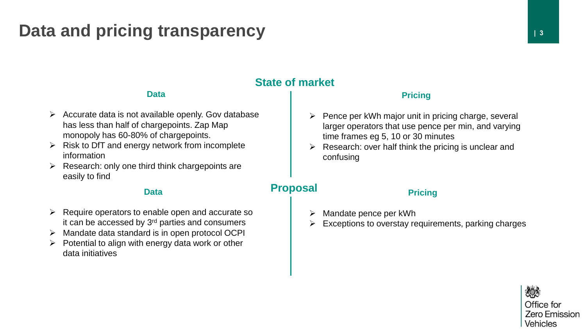## **Data and pricing transparency and is a set of a set of a set of a set of a set of a set of a set of a set of a set of a set of a set of a set of a set of a set of a set of a set of a set of a set of a set of a set of a**

## **State of market**

### **Data**

- $\triangleright$  Accurate data is not available openly. Gov database has less than half of chargepoints. Zap Map monopoly has 60-80% of chargepoints.
- $\triangleright$  Risk to DfT and energy network from incomplete information
- $\triangleright$  Research: only one third think chargepoints are easily to find

#### **Data**

- $\triangleright$  Require operators to enable open and accurate so it can be accessed by  $3<sup>rd</sup>$  parties and consumers
- ➢ Mandate data standard is in open protocol OCPI
- $\triangleright$  Potential to align with energy data work or other data initiatives

#### **Pricing**

- $\triangleright$  Pence per kWh major unit in pricing charge, several larger operators that use pence per min, and varying time frames eg 5, 10 or 30 minutes
- Research: over half think the pricing is unclear and confusing

## **Proposal**

#### **Pricing**

- ➢ Mandate pence per kWh
- Exceptions to overstay requirements, parking charges

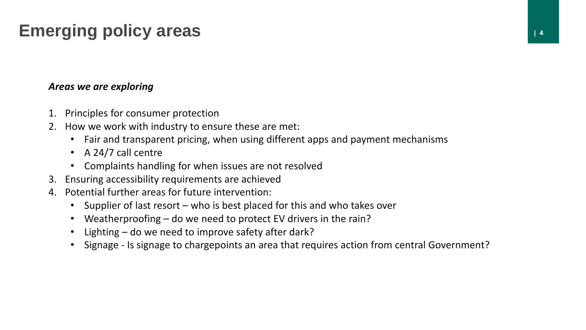# **Emerging policy areas | 4**

### *Areas we are exploring*

- 1. Principles for consumer protection
- 2. How we work with industry to ensure these are met:
	- Fair and transparent pricing, when using different apps and payment mechanisms
	- A 24/7 call centre
	- Complaints handling for when issues are not resolved
- 3. Ensuring accessibility requirements are achieved
- 4. Potential further areas for future intervention:
	- Supplier of last resort who is best placed for this and who takes over
	- Weatherproofing do we need to protect EV drivers in the rain?
	- Lighting do we need to improve safety after dark?
	- Signage Is signage to chargepoints an area that requires action from central Government?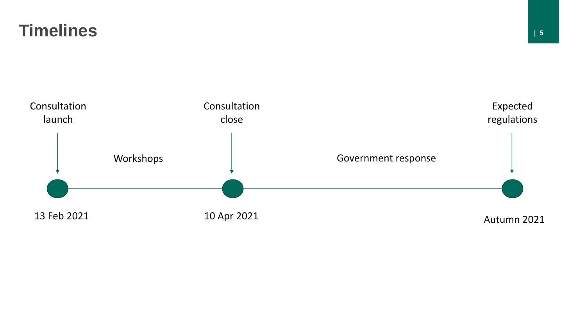## **Timelines**

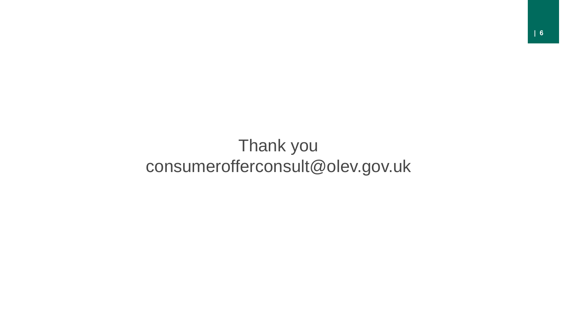# Thank you consumerofferconsult@olev.gov.uk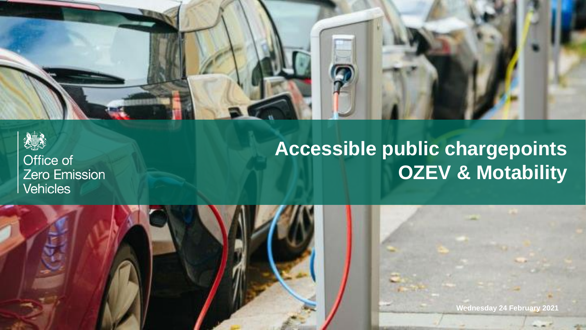



# **Accessible public chargepoints OZEV & Motability**

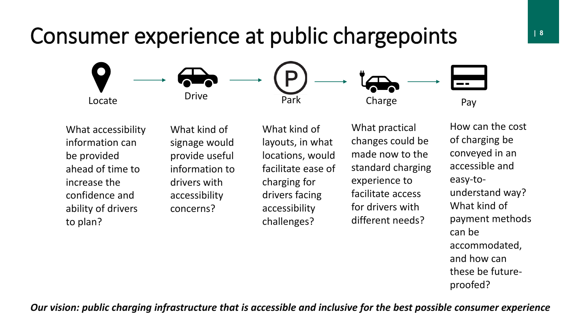# **| 8** Consumer experience at public chargepoints



What accessibility information can be provided ahead of time to increase the confidence and ability of drivers to plan?

What kind of signage would provide useful information to drivers with accessibility concerns?

What kind of layouts, in what locations, would facilitate ease of charging for drivers facing accessibility challenges?

What practical changes could be made now to the standard charging experience to facilitate access for drivers with different needs?

How can the cost of charging be conveyed in an accessible and easy-tounderstand way? What kind of payment methods can be accommodated, and how can these be futureproofed?

*Our vision: public charging infrastructure that is accessible and inclusive for the best possible consumer experience*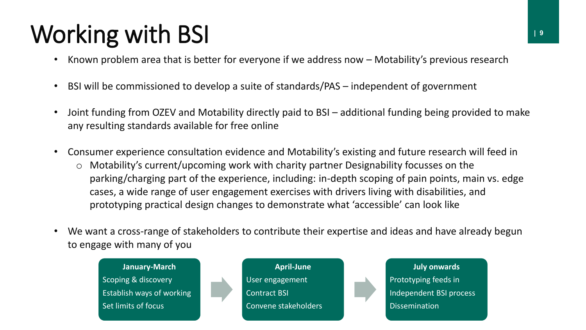# Working with BSI **IIIs a Contract Contract Contract Contract Contract Contract Contract Contract Contract Contract Contract Contract Contract Contract Contract Contract Contract Contract Contract Contract Contract Contract**

- Known problem area that is better for everyone if we address now Motability's previous research
- BSI will be commissioned to develop a suite of standards/PAS independent of government
- Joint funding from OZEV and Motability directly paid to BSI additional funding being provided to make any resulting standards available for free online
- Consumer experience consultation evidence and Motability's existing and future research will feed in
	- o Motability's current/upcoming work with charity partner Designability focusses on the parking/charging part of the experience, including: in-depth scoping of pain points, main vs. edge cases, a wide range of user engagement exercises with drivers living with disabilities, and prototyping practical design changes to demonstrate what 'accessible' can look like
- We want a cross-range of stakeholders to contribute their expertise and ideas and have already begun to engage with many of you